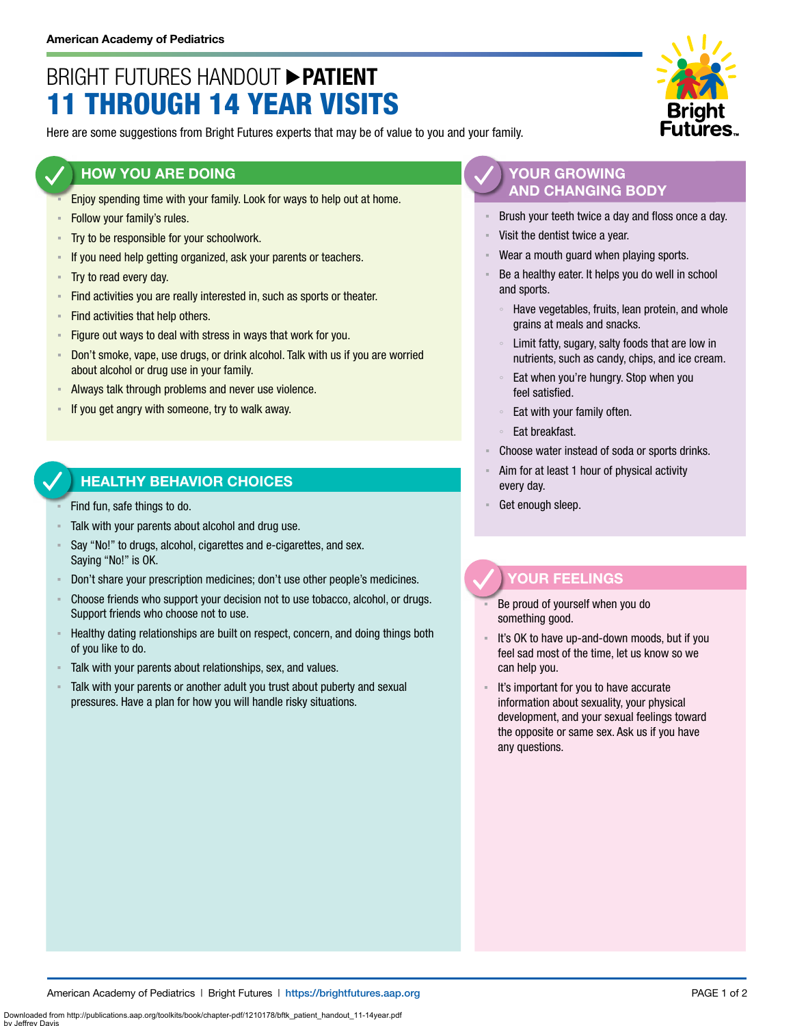# BRIGHT FUTURES HANDOUT **PATIENT** 11 THROUGH 14 YEAR VISITS

Here are some suggestions from Bright Futures experts that may be of value to you and your family.

### **HOW YOU ARE DOING**

- Enjoy spending time with your family. Look for ways to help out at home.
- **EXECUTE:** Follow your family's rules.
- **Try to be responsible for your schoolwork.**
- **EXEDED** 15 If you need help getting organized, ask your parents or teachers.
- Try to read every day.
- **EXECT** Find activities you are really interested in, such as sports or theater.
- **Find activities that help others.**
- **Example 1** Figure out ways to deal with stress in ways that work for you.
- **Don't smoke, vape, use drugs, or drink alcohol. Talk with us if you are worried** about alcohol or drug use in your family.
- Always talk through problems and never use violence.
- If you get angry with someone, try to walk away.

### **HEALTHY BEHAVIOR CHOICES**

- Find fun, safe things to do.
- Talk with your parents about alcohol and drug use.
- Say "No!" to drugs, alcohol, cigarettes and e-cigarettes, and sex. Saying "No!" is OK.
- Don't share your prescription medicines; don't use other people's medicines.
- Choose friends who support your decision not to use tobacco, alcohol, or drugs. Support friends who choose not to use.
- Healthy dating relationships are built on respect, concern, and doing things both of you like to do.
- Talk with your parents about relationships, sex, and values.
- Talk with your parents or another adult you trust about puberty and sexual pressures. Have a plan for how you will handle risky situations.

### **YOUR GROWING AND CHANGING BODY**

- Brush your teeth twice a day and floss once a day.
- Visit the dentist twice a year.
- Wear a mouth guard when playing sports.
- Be a healthy eater. It helps you do well in school and sports.
	- Have vegetables, fruits, lean protein, and whole grains at meals and snacks.
	- Limit fatty, sugary, salty foods that are low in nutrients, such as candy, chips, and ice cream.
	- Eat when you're hungry. Stop when you feel satisfied.
	- Eat with your family often.
	- Eat breakfast.
- Choose water instead of soda or sports drinks.
- Aim for at least 1 hour of physical activity every day.
- Get enough sleep.

### **YOUR FEELINGS**

- Be proud of yourself when you do something good.
- It's OK to have up-and-down moods, but if you feel sad most of the time, let us know so we can help you.
- It's important for you to have accurate information about sexuality, your physical development, and your sexual feelings toward the opposite or same sex. Ask us if you have any questions.

Downloaded from http://publications.aap.org/toolkits/book/chapter-pdf/1210178/bftk\_patient\_handout\_11-14year.pdf

by Jeffrey Davis